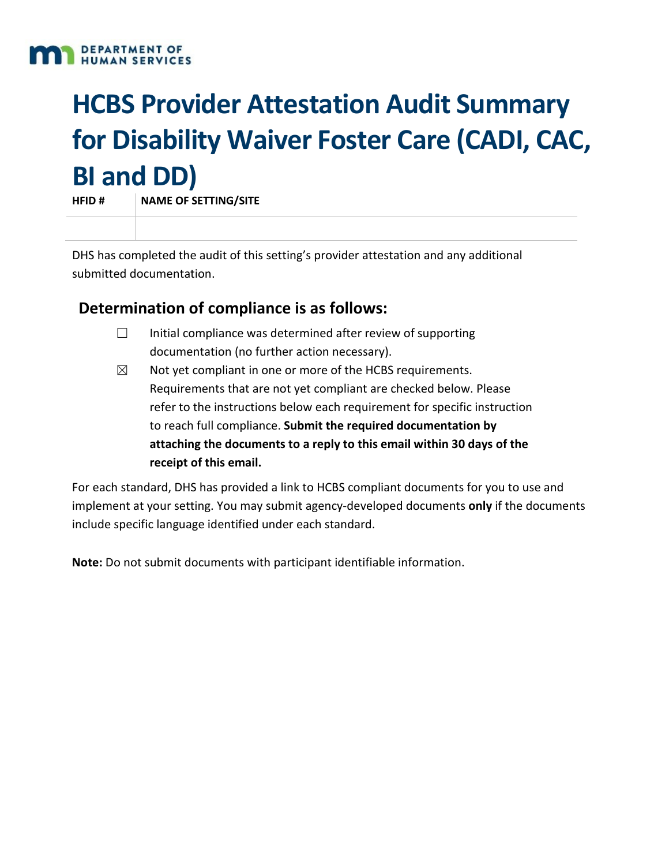

# **HCBS Provider Attestation Audit Summary for Disability Waiver Foster Care (CADI, CAC, BI and DD)**

**HFID # NAME OF SETTING/SITE**

DHS has completed the audit of this setting's provider attestation and any additional submitted documentation.

# **Determination of compliance is as follows:**

- □ Initial compliance was determined after review of supporting documentation (no further action necessary).
- $\boxtimes$  Not yet compliant in one or more of the HCBS requirements. Requirements that are not yet compliant are checked below. Please refer to the instructions below each requirement for specific instruction to reach full compliance. **Submit the required documentation by attaching the documents to a reply to this email within 30 days of the receipt of this email.**

For each standard, DHS has provided a link to HCBS compliant documents for you to use and implement at your setting. You may submit agency-developed documents **only** if the documents include specific language identified under each standard.

**Note:** Do not submit documents with participant identifiable information.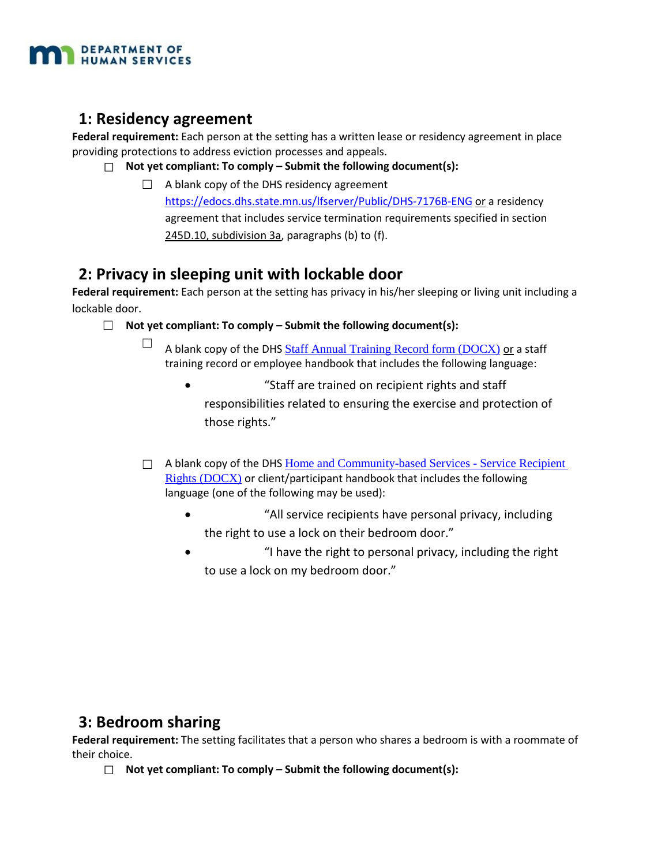

## **1: Residency agreement**

**Federal requirement:** Each person at the setting has a written lease or residency agreement in place providing protections to address eviction processes and appeals.

- ☐ **Not yet compliant: To comply Submit the following document(s):**
	- ☐ A blank copy of the DHS residency agreement <https://edocs.dhs.state.mn.us/lfserver/Public/DHS-7176B-ENG> or a residency agreement that includes service termination requirements specified in section [245D.10, subdivision 3a,](https://www.revisor.mn.gov/statutes/?id=245D.10#stat.245D.10.3a) paragraphs (b) to (f).

# **2: Privacy in sleeping unit with lockable door**

**Federal requirement:** Each person at the setting has privacy in his/her sleeping or living unit including a lockable door.

- ☐ **Not yet compliant: To comply Submit the following document(s):**
	- $\Box$  A blank copy of the DHS [Staff Annual Training Record form \(DOCX\)](https://mn.gov/dhs/assets/245d-staff-annual-training-record-sample-document_tcm1053-297313.docx) or a staff training record or employee handbook that includes the following language:
		- "Staff are trained on recipient rights and staff responsibilities related to ensuring the exercise and protection of those rights."
	- $\Box$  A blank copy of the DHS Home and Community-based Services Service Recipient [Rights \(DOCX\)](https://mn.gov/dhs/assets/245d-service-recipient-rights-packet-sample-document_tcm1053-302528.doc) or client/participant handbook that includes the following language (one of the following may be used):
		- "All service recipients have personal privacy, including the right to use a lock on their bedroom door."
		- "I have the right to personal privacy, including the right to use a lock on my bedroom door."

# **3: Bedroom sharing**

**Federal requirement:** The setting facilitates that a person who shares a bedroom is with a roommate of their choice.

☐ **Not yet compliant: To comply – Submit the following document(s):**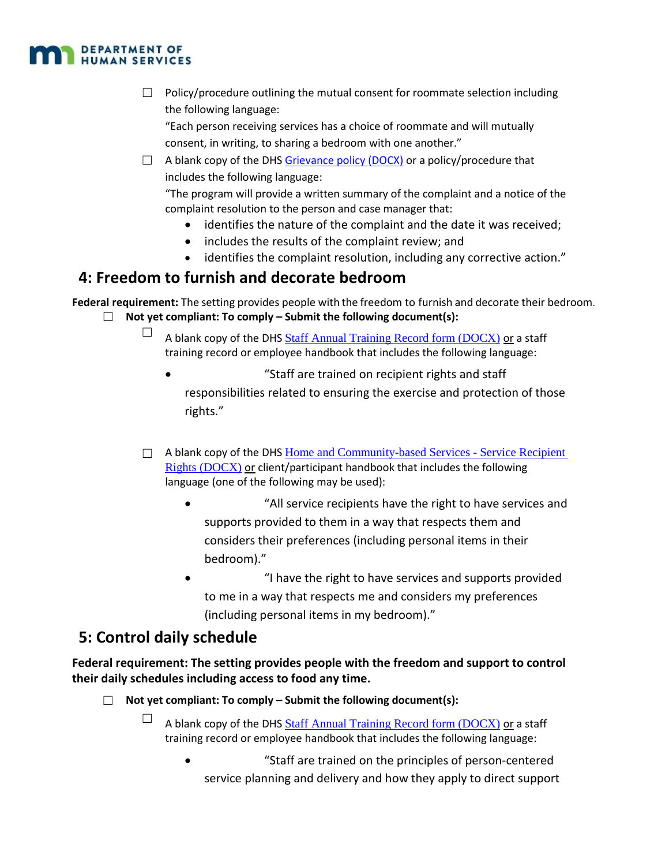

 $\Box$  Policy/procedure outlining the mutual consent for roommate selection including the following language:

"Each person receiving services has a choice of roommate and will mutually consent, in writing, to sharing a bedroom with one another."

 $\Box$  A blank copy of the DHS [Grievance policy \(DOCX\)](http://www.dhs.state.mn.us/dhs16_180164) or a policy/procedure that includes the following language:

"The program will provide a written summary of the complaint and a notice of the complaint resolution to the person and case manager that:

- identifies the nature of the complaint and the date it was received;
- includes the results of the complaint review; and
- identifies the complaint resolution, including any corrective action."

# **4: Freedom to furnish and decorate bedroom**

**Federal requirement:** The setting provides people with the freedom to furnish and decorate their bedroom.

- ☐ **Not yet compliant: To comply Submit the following document(s):**
	- $\Box$  A blank copy of the DHS [Staff Annual Training Record form \(DOCX\)](https://mn.gov/dhs/assets/245d-staff-annual-training-record-sample-document_tcm1053-297313.docx) or a staff training record or employee handbook that includes the following language:
		- "Staff are trained on recipient rights and staff responsibilities related to ensuring the exercise and protection of those rights."
	- $\Box$  A blank copy of the DHS Home and Community-based Services Service Recipient [Rights \(DOCX\)](https://mn.gov/dhs/assets/245d-service-recipient-rights-packet-sample-document_tcm1053-302528.doc) or client/participant handbook that includes the following language (one of the following may be used):
		- "All service recipients have the right to have services and supports provided to them in a way that respects them and considers their preferences (including personal items in their bedroom)."
		- "I have the right to have services and supports provided to me in a way that respects me and considers my preferences (including personal items in my bedroom)."

# **5: Control daily schedule**

**Federal requirement: The setting provides people with the freedom and support to control their daily schedules including access to food any time.**

- ☐ **Not yet compliant: To comply Submit the following document(s):**
	- $\Box$  A blank copy of the DHS [Staff Annual Training Record form \(DOCX\)](https://mn.gov/dhs/assets/245d-staff-annual-training-record-sample-document_tcm1053-297313.docx) or a staff training record or employee handbook that includes the following language:
		- "Staff are trained on the principles of person-centered service planning and delivery and how they apply to direct support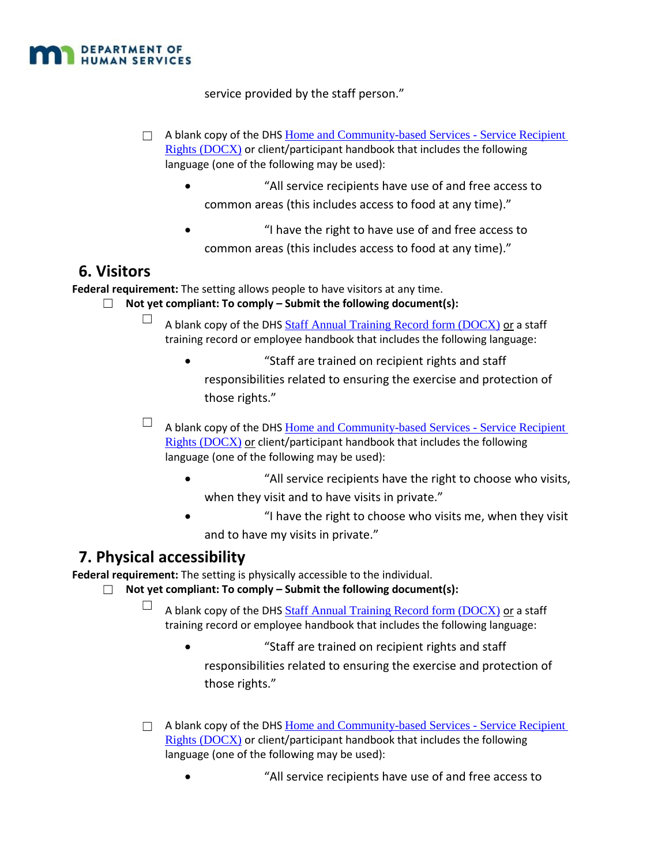

service provided by the staff person."

- $\Box$  A blank copy of the DHS Home and Community-based Services Service Recipient [Rights \(DOCX\)](https://mn.gov/dhs/assets/245d-service-recipient-rights-packet-sample-document_tcm1053-302528.doc) or client/participant handbook that includes the following language (one of the following may be used):
	- "All service recipients have use of and free access to common areas (this includes access to food at any time)."
	- "I have the right to have use of and free access to common areas (this includes access to food at any time)."

#### **6. Visitors**

**Federal requirement:** The setting allows people to have visitors at any time.

- ☐ **Not yet compliant: To comply Submit the following document(s):**
	- $\Box$  A blank copy of the DHS [Staff Annual Training Record form \(DOCX\)](https://mn.gov/dhs/assets/245d-staff-annual-training-record-sample-document_tcm1053-297313.docx) or a staff training record or employee handbook that includes the following language:
		- "Staff are trained on recipient rights and staff responsibilities related to ensuring the exercise and protection of those rights."
	- $\Box$  A blank copy of the DHS Home and Community-based Services Service Recipient [Rights \(DOCX\)](https://mn.gov/dhs/assets/245d-service-recipient-rights-packet-sample-document_tcm1053-302528.doc) or client/participant handbook that includes the following language (one of the following may be used):
		- "All service recipients have the right to choose who visits, when they visit and to have visits in private."
		- "I have the right to choose who visits me, when they visit and to have my visits in private."

# **7. Physical accessibility**

**Federal requirement:** The setting is physically accessible to the individual.

- ☐ **Not yet compliant: To comply Submit the following document(s):**
	- $\Box$  A blank copy of the DHS [Staff Annual Training Record form \(DOCX\)](https://mn.gov/dhs/assets/245d-staff-annual-training-record-sample-document_tcm1053-297313.docx) or a staff training record or employee handbook that includes the following language:
		- "Staff are trained on recipient rights and staff responsibilities related to ensuring the exercise and protection of those rights."
	- $\Box$  A blank copy of the DHS Home and Community-based Services Service Recipient [Rights \(DOCX\)](https://mn.gov/dhs/assets/245d-service-recipient-rights-packet-sample-document_tcm1053-302528.doc) or client/participant handbook that includes the following language (one of the following may be used):
		- "All service recipients have use of and free access to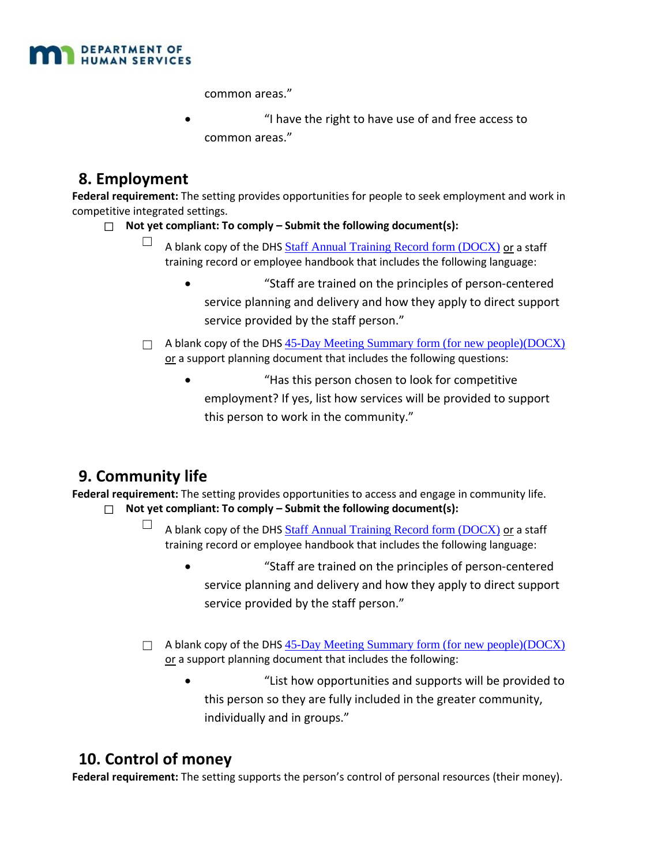

common areas."

• "I have the right to have use of and free access to common areas."

# **8. Employment**

**Federal requirement:** The setting provides opportunities for people to seek employment and work in competitive integrated settings.

- ☐ **Not yet compliant: To comply Submit the following document(s):**
	- $\Box$  A blank copy of the DHS [Staff Annual Training Record form \(DOCX\)](https://mn.gov/dhs/assets/245d-staff-annual-training-record-sample-document_tcm1053-297313.docx) or a staff training record or employee handbook that includes the following language:
		- "Staff are trained on the principles of person-centered service planning and delivery and how they apply to direct support service provided by the staff person."
	- □ A blank copy of the DHS [45-Day Meeting Summary form \(for new people\)\(DOCX\)](https://mn.gov/dhs/assets/245d-45-day-meeting-summary-sample-document_tcm1053-297069.doc) or a support planning document that includes the following questions:
		- "Has this person chosen to look for competitive employment? If yes, list how services will be provided to support this person to work in the community."

# **9. Community life**

**Federal requirement:** The setting provides opportunities to access and engage in community life.

- ☐ **Not yet compliant: To comply Submit the following document(s):**
	- $\Box$  A blank copy of the DHS [Staff Annual Training Record form \(DOCX\)](https://mn.gov/dhs/assets/245d-staff-annual-training-record-sample-document_tcm1053-297313.docx) or a staff training record or employee handbook that includes the following language:
		- "Staff are trained on the principles of person-centered service planning and delivery and how they apply to direct support service provided by the staff person."
	- $\Box$  A blank copy of the DHS [45-Day Meeting Summary form \(for new people\)\(DOCX\)](https://mn.gov/dhs/assets/245d-45-day-meeting-summary-sample-document_tcm1053-297069.doc) or a support planning document that includes the following:
		- "List how opportunities and supports will be provided to this person so they are fully included in the greater community, individually and in groups."

# **10. Control of money**

**Federal requirement:** The setting supports the person's control of personal resources (their money).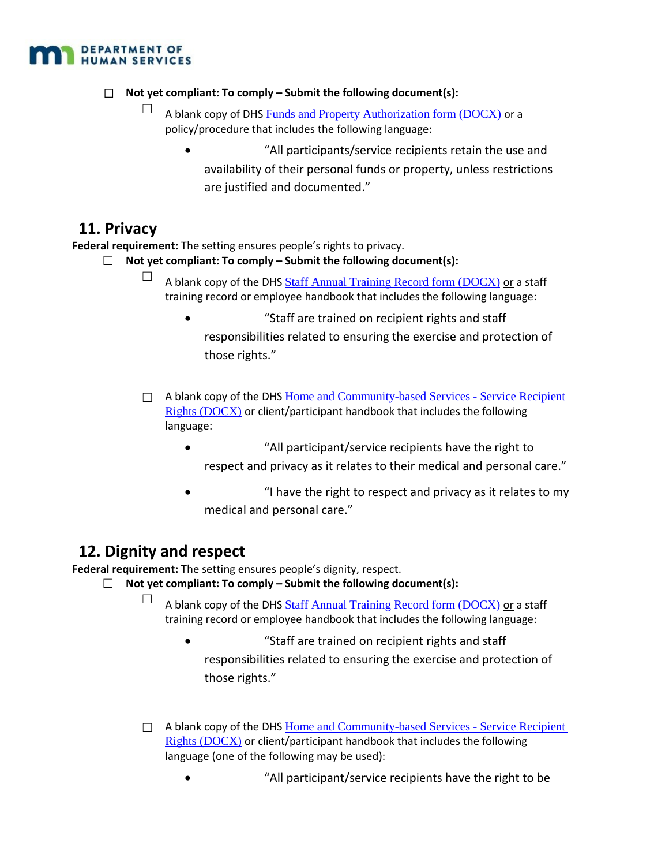

#### ☐ **Not yet compliant: To comply – Submit the following document(s):**

- $\Box$  A blank copy of DHS [Funds and Property Authorization form \(DOCX\)](https://mn.gov/dhs/assets/245d-funds-and-property-authorization-sample-document_tcm1053-297263.doc) or a policy/procedure that includes the following language:
	- "All participants/service recipients retain the use and availability of their personal funds or property, unless restrictions are justified and documented."

#### **11. Privacy**

**Federal requirement:** The setting ensures people's rights to privacy.

- ☐ **Not yet compliant: To comply Submit the following document(s):**
	- $\Box$  A blank copy of the DHS [Staff Annual Training Record form \(DOCX\)](https://mn.gov/dhs/assets/245d-staff-annual-training-record-sample-document_tcm1053-297313.docx) or a staff training record or employee handbook that includes the following language:
		- "Staff are trained on recipient rights and staff responsibilities related to ensuring the exercise and protection of those rights."
	- □ A blank copy of the DHS Home and Community-based Services Service Recipient [Rights \(DOCX\)](https://mn.gov/dhs/assets/245d-service-recipient-rights-packet-sample-document_tcm1053-302528.doc) or client/participant handbook that includes the following language:
		- "All participant/service recipients have the right to respect and privacy as it relates to their medical and personal care."
		- "I have the right to respect and privacy as it relates to my medical and personal care."

# **12. Dignity and respect**

**Federal requirement:** The setting ensures people's dignity, respect.

- ☐ **Not yet compliant: To comply Submit the following document(s):**
	- $\Box$  A blank copy of the DHS [Staff Annual Training Record form \(DOCX\)](https://mn.gov/dhs/assets/245d-staff-annual-training-record-sample-document_tcm1053-297313.docx) or a staff training record or employee handbook that includes the following language:
		- "Staff are trained on recipient rights and staff responsibilities related to ensuring the exercise and protection of those rights."
	- $\Box$  A blank copy of the DHS Home and Community-based Services Service Recipient [Rights \(DOCX\)](https://mn.gov/dhs/assets/245d-service-recipient-rights-packet-sample-document_tcm1053-302528.doc) or client/participant handbook that includes the following language (one of the following may be used):
		- "All participant/service recipients have the right to be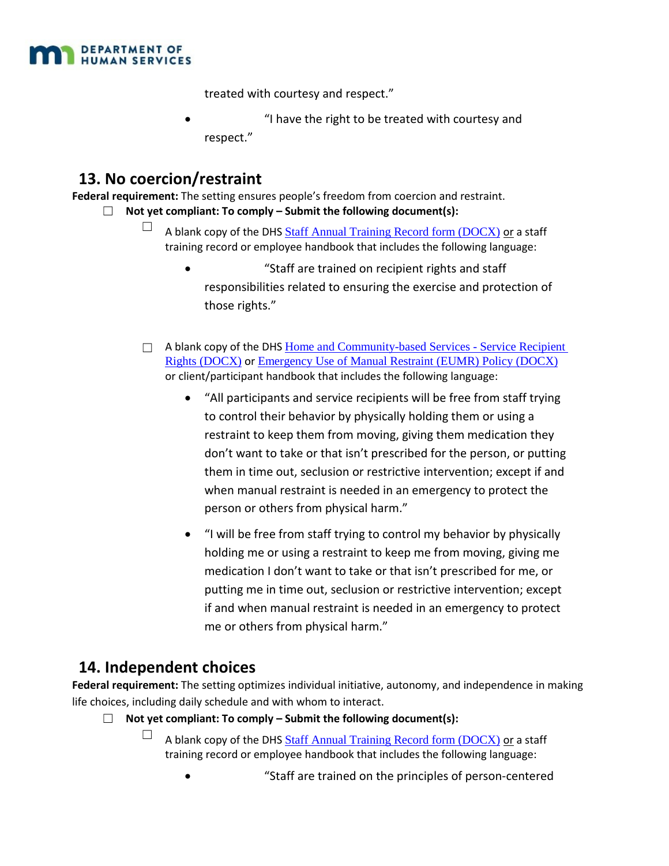

treated with courtesy and respect."

• "I have the right to be treated with courtesy and respect."

## **13. No coercion/restraint**

**Federal requirement:** The setting ensures people's freedom from coercion and restraint.

- ☐ **Not yet compliant: To comply Submit the following document(s):**
	- $\Box$  A blank copy of the DHS [Staff Annual Training Record form \(DOCX\)](https://mn.gov/dhs/assets/245d-staff-annual-training-record-sample-document_tcm1053-297313.docx) or a staff training record or employee handbook that includes the following language:
		- "Staff are trained on recipient rights and staff responsibilities related to ensuring the exercise and protection of those rights."
	- $\Box$  A blank copy of the DHS Home and Community-based Services Service Recipient [Rights \(DOCX\)](https://mn.gov/dhs/assets/245d-service-recipient-rights-packet-sample-document_tcm1053-302528.doc) or [Emergency Use of Manual Restraint \(EUMR\) Policy \(DOCX\)](https://mn.gov/dhs/assets/245d-emergency-use-of-manual-restraints-not-allowed-policy-sample-document_tcm1053-338772.docx) or client/participant handbook that includes the following language:
		- "All participants and service recipients will be free from staff trying to control their behavior by physically holding them or using a restraint to keep them from moving, giving them medication they don't want to take or that isn't prescribed for the person, or putting them in time out, seclusion or restrictive intervention; except if and when manual restraint is needed in an emergency to protect the person or others from physical harm."
		- "I will be free from staff trying to control my behavior by physically holding me or using a restraint to keep me from moving, giving me medication I don't want to take or that isn't prescribed for me, or putting me in time out, seclusion or restrictive intervention; except if and when manual restraint is needed in an emergency to protect me or others from physical harm."

# **14. Independent choices**

**Federal requirement:** The setting optimizes individual initiative, autonomy, and independence in making life choices, including daily schedule and with whom to interact.

- ☐ **Not yet compliant: To comply Submit the following document(s):**
	- $\Box$  A blank copy of the DHS [Staff Annual Training Record form \(DOCX\)](https://mn.gov/dhs/assets/245d-staff-annual-training-record-sample-document_tcm1053-297313.docx) or a staff training record or employee handbook that includes the following language:
		- "Staff are trained on the principles of person-centered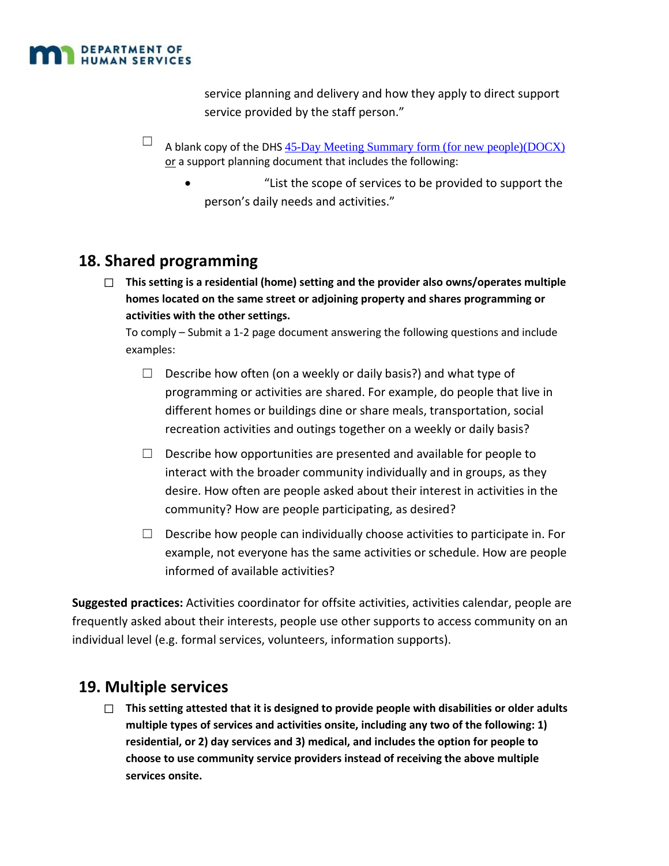

service planning and delivery and how they apply to direct support service provided by the staff person."

- $\Box$  A blank copy of the DHS [45-Day Meeting Summary form \(for new people\)\(DOCX\)](https://mn.gov/dhs/assets/245d-45-day-meeting-summary-sample-document_tcm1053-297069.doc) or a support planning document that includes the following:
	- "List the scope of services to be provided to support the person's daily needs and activities."

# **18. Shared programming**

☐ **This setting is a residential (home) setting and the provider also owns/operates multiple homes located on the same street or adjoining property and shares programming or activities with the other settings.**

To comply – Submit a 1-2 page document answering the following questions and include examples:

- $\Box$  Describe how often (on a weekly or daily basis?) and what type of programming or activities are shared. For example, do people that live in different homes or buildings dine or share meals, transportation, social recreation activities and outings together on a weekly or daily basis?
- $\Box$  Describe how opportunities are presented and available for people to interact with the broader community individually and in groups, as they desire. How often are people asked about their interest in activities in the community? How are people participating, as desired?
- $\Box$  Describe how people can individually choose activities to participate in. For example, not everyone has the same activities or schedule. How are people informed of available activities?

**Suggested practices:** Activities coordinator for offsite activities, activities calendar, people are frequently asked about their interests, people use other supports to access community on an individual level (e.g. formal services, volunteers, information supports).

# **19. Multiple services**

☐ **This setting attested that it is designed to provide people with disabilities or older adults multiple types of services and activities onsite, including any two of the following: 1) residential, or 2) day services and 3) medical, and includes the option for people to choose to use community service providers instead of receiving the above multiple services onsite.**